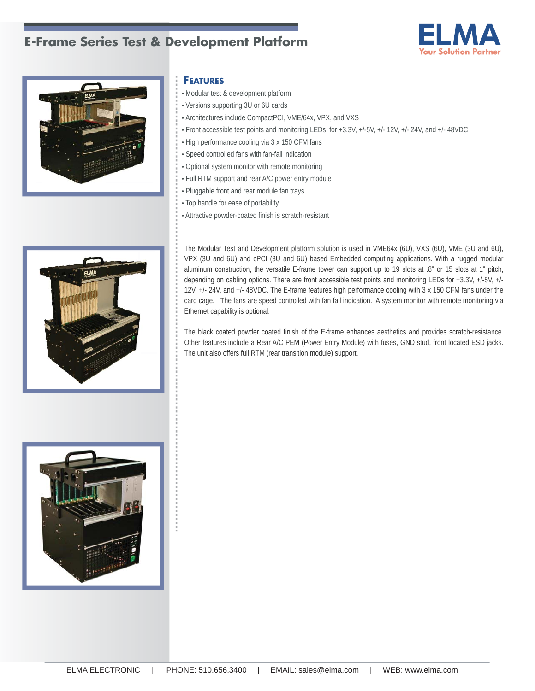## **E-Frame Series Test & Development Platform**





## **FEATURES**

- Modular test & development platform
- Versions supporting 3U or 6U cards
- Architectures include CompactPCI, VME/64x, VPX, and VXS
- Front accessible test points and monitoring LEDs for +3.3V, +/-5V, +/- 12V, +/- 24V, and +/- 48VDC
- High performance cooling via 3 x 150 CFM fans
- Speed controlled fans with fan-fail indication
- Optional system monitor with remote monitoring
- Full RTM support and rear A/C power entry module
- Pluggable front and rear module fan trays
- Top handle for ease of portability
- Attractive powder-coated finish is scratch-resistant



The Modular Test and Development platform solution is used in VME64x (6U), VXS (6U), VME (3U and 6U), VPX (3U and 6U) and cPCI (3U and 6U) based Embedded computing applications. With a rugged modular aluminum construction, the versatile E-frame tower can support up to 19 slots at .8" or 15 slots at 1" pitch, depending on cabling options. There are front accessible test points and monitoring LEDs for +3.3V, +/-5V, +/- 12V, +/- 24V, and +/- 48VDC. The E-frame features high performance cooling with 3 x 150 CFM fans under the card cage. The fans are speed controlled with fan fail indication. A system monitor with remote monitoring via Ethernet capability is optional.

The black coated powder coated finish of the E-frame enhances aesthetics and provides scratch-resistance. Other features include a Rear A/C PEM (Power Entry Module) with fuses, GND stud, front located ESD jacks. The unit also offers full RTM (rear transition module) support.